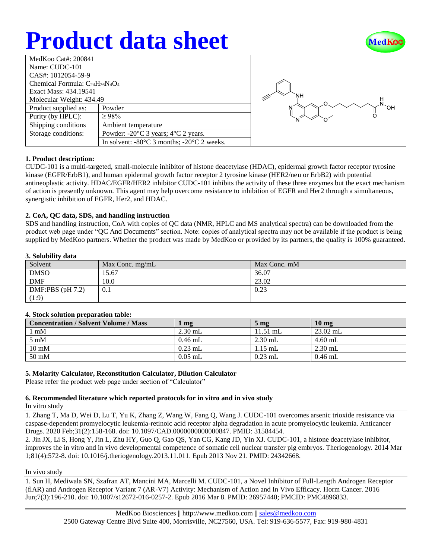# **Product data sheet**



| MedKoo Cat#: 200841                    |                                                                |  |  |  |
|----------------------------------------|----------------------------------------------------------------|--|--|--|
| Name: CUDC-101                         |                                                                |  |  |  |
| CAS#: 1012054-59-9                     |                                                                |  |  |  |
| Chemical Formula: $C_{24}H_{26}N_4O_4$ |                                                                |  |  |  |
| Exact Mass: 434.19541                  |                                                                |  |  |  |
| Molecular Weight: 434.49               |                                                                |  |  |  |
| Product supplied as:                   | Powder                                                         |  |  |  |
| Purity (by HPLC):                      | >98%                                                           |  |  |  |
| Shipping conditions                    | Ambient temperature                                            |  |  |  |
| Storage conditions:                    | Powder: $-20^{\circ}$ C 3 years; $4^{\circ}$ C 2 years.        |  |  |  |
|                                        | In solvent: $-80^{\circ}$ C 3 months; $-20^{\circ}$ C 2 weeks. |  |  |  |



## **1. Product description:**

CUDC-101 is a multi-targeted, small-molecule inhibitor of histone deacetylase (HDAC), epidermal growth factor receptor tyrosine kinase (EGFR/ErbB1), and human epidermal growth factor receptor 2 tyrosine kinase (HER2/neu or ErbB2) with potential antineoplastic activity. HDAC/EGFR/HER2 inhibitor CUDC-101 inhibits the activity of these three enzymes but the exact mechanism of action is presently unknown. This agent may help overcome resistance to inhibition of EGFR and Her2 through a simultaneous, synergistic inhibition of EGFR, Her2, and HDAC.

## **2. CoA, QC data, SDS, and handling instruction**

SDS and handling instruction, CoA with copies of QC data (NMR, HPLC and MS analytical spectra) can be downloaded from the product web page under "QC And Documents" section. Note: copies of analytical spectra may not be available if the product is being supplied by MedKoo partners. Whether the product was made by MedKoo or provided by its partners, the quality is 100% guaranteed.

## **3. Solubility data**

| Solvent            | Max Conc. $mg/mL$ | Max Conc. mM |
|--------------------|-------------------|--------------|
| <b>DMSO</b>        | 15.67             | 36.07        |
| <b>DMF</b>         | 10.0              | 23.02        |
| DMF:PBS $(pH 7.2)$ | 0.1               | 0.23         |
| (1:9)              |                   |              |

## **4. Stock solution preparation table:**

| <b>Concentration / Solvent Volume / Mass</b> | mg        | 5 <sub>mg</sub> | $10 \text{ mg}$ |
|----------------------------------------------|-----------|-----------------|-----------------|
| $1 \text{ mM}$                               | $2.30$ mL | $11.51$ mL      | $23.02$ mL      |
| $5 \text{ mM}$                               | $0.46$ mL | $2.30$ mL       | $4.60$ mL       |
| $10 \text{ mM}$                              | $0.23$ mL | $1.15$ mL       | $2.30$ mL       |
| 50 mM                                        | $0.05$ mL | $0.23$ mL       | $0.46$ mL       |

## **5. Molarity Calculator, Reconstitution Calculator, Dilution Calculator**

Please refer the product web page under section of "Calculator"

## **6. Recommended literature which reported protocols for in vitro and in vivo study**

In vitro study

1. Zhang T, Ma D, Wei D, Lu T, Yu K, Zhang Z, Wang W, Fang Q, Wang J. CUDC-101 overcomes arsenic trioxide resistance via caspase-dependent promyelocytic leukemia-retinoic acid receptor alpha degradation in acute promyelocytic leukemia. Anticancer Drugs. 2020 Feb;31(2):158-168. doi: 10.1097/CAD.0000000000000847. PMID: 31584454.

2. Jin JX, Li S, Hong Y, Jin L, Zhu HY, Guo Q, Gao QS, Yan CG, Kang JD, Yin XJ. CUDC-101, a histone deacetylase inhibitor, improves the in vitro and in vivo developmental competence of somatic cell nuclear transfer pig embryos. Theriogenology. 2014 Mar 1;81(4):572-8. doi: 10.1016/j.theriogenology.2013.11.011. Epub 2013 Nov 21. PMID: 24342668.

## In vivo study

1. Sun H, Mediwala SN, Szafran AT, Mancini MA, Marcelli M. CUDC-101, a Novel Inhibitor of Full-Length Androgen Receptor (flAR) and Androgen Receptor Variant 7 (AR-V7) Activity: Mechanism of Action and In Vivo Efficacy. Horm Cancer. 2016 Jun;7(3):196-210. doi: 10.1007/s12672-016-0257-2. Epub 2016 Mar 8. PMID: 26957440; PMCID: PMC4896833.